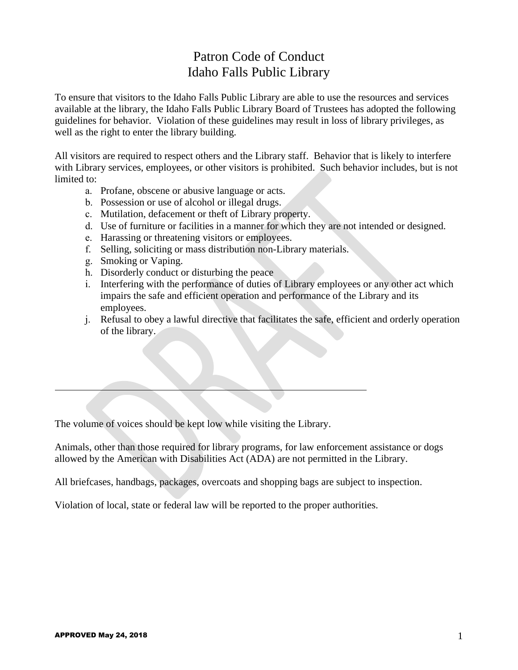## Patron Code of Conduct Idaho Falls Public Library

To ensure that visitors to the Idaho Falls Public Library are able to use the resources and services available at the library, the Idaho Falls Public Library Board of Trustees has adopted the following guidelines for behavior. Violation of these guidelines may result in loss of library privileges, as well as the right to enter the library building.

All visitors are required to respect others and the Library staff. Behavior that is likely to interfere with Library services, employees, or other visitors is prohibited. Such behavior includes, but is not limited to:

- a. Profane, obscene or abusive language or acts.
- b. Possession or use of alcohol or illegal drugs.
- c. Mutilation, defacement or theft of Library property.
- d. Use of furniture or facilities in a manner for which they are not intended or designed.
- e. Harassing or threatening visitors or employees.
- f. Selling, soliciting or mass distribution non-Library materials.
- g. Smoking or Vaping.
- h. Disorderly conduct or disturbing the peace
- i. Interfering with the performance of duties of Library employees or any other act which impairs the safe and efficient operation and performance of the Library and its employees.
- j. Refusal to obey a lawful directive that facilitates the safe, efficient and orderly operation of the library.

The volume of voices should be kept low while visiting the Library.

Animals, other than those required for library programs, for law enforcement assistance or dogs allowed by the American with Disabilities Act (ADA) are not permitted in the Library.

All briefcases, handbags, packages, overcoats and shopping bags are subject to inspection.

Violation of local, state or federal law will be reported to the proper authorities.